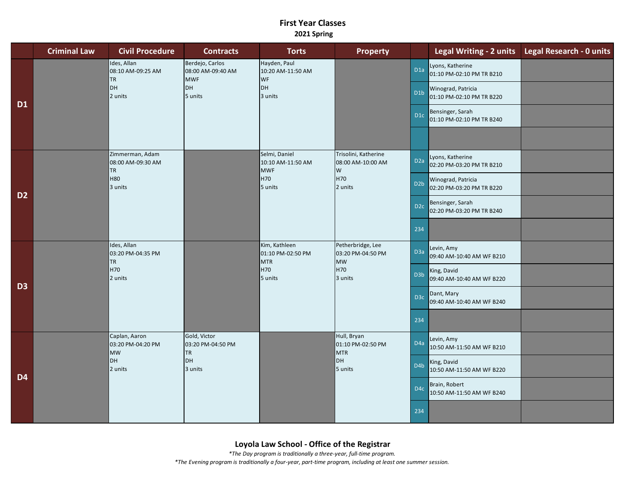## **First Year Classes 2021 Spring**

|                | <b>Criminal Law</b> | <b>Civil Procedure</b>                                           | <b>Contracts</b>                                                    | <b>Torts</b>                                                           | <b>Property</b>                                                       |                  |                                                 | Legal Writing - 2 units Legal Research - 0 units |
|----------------|---------------------|------------------------------------------------------------------|---------------------------------------------------------------------|------------------------------------------------------------------------|-----------------------------------------------------------------------|------------------|-------------------------------------------------|--------------------------------------------------|
| <b>D1</b>      |                     | Ides, Allan<br>08:10 AM-09:25 AM<br><b>TR</b><br>DH<br>2 units   | Berdejo, Carlos<br>08:00 AM-09:40 AM<br><b>MWF</b><br>DH<br>5 units | Hayden, Paul<br>10:20 AM-11:50 AM<br><b>WF</b><br><b>DH</b><br>3 units |                                                                       | D <sub>1a</sub>  | Lyons, Katherine<br>01:10 PM-02:10 PM TR B210   |                                                  |
|                |                     |                                                                  |                                                                     |                                                                        |                                                                       | D <sub>1</sub> b | Winograd, Patricia<br>01:10 PM-02:10 PM TR B220 |                                                  |
|                |                     |                                                                  |                                                                     |                                                                        |                                                                       | D <sub>1c</sub>  | Bensinger, Sarah<br>01:10 PM-02:10 PM TR B240   |                                                  |
|                |                     |                                                                  |                                                                     |                                                                        |                                                                       |                  |                                                 |                                                  |
| D <sub>2</sub> |                     | Zimmerman, Adam<br>08:00 AM-09:30 AM<br><b>TR</b>                |                                                                     | Selmi, Daniel<br>10:10 AM-11:50 AM<br><b>MWF</b><br>H70<br>5 units     | Trisolini, Katherine<br>08:00 AM-10:00 AM<br>W<br>H70<br>2 units      | D <sub>2</sub> a | Lyons, Katherine<br>02:20 PM-03:20 PM TR B210   |                                                  |
|                |                     | H80<br>3 units                                                   |                                                                     |                                                                        |                                                                       | D <sub>2</sub> b | Winograd, Patricia<br>02:20 PM-03:20 PM TR B220 |                                                  |
|                |                     |                                                                  |                                                                     |                                                                        |                                                                       | D <sub>2c</sub>  | Bensinger, Sarah<br>02:20 PM-03:20 PM TR B240   |                                                  |
|                |                     |                                                                  |                                                                     |                                                                        |                                                                       | 234              |                                                 |                                                  |
| D <sub>3</sub> |                     | Ides, Allan<br>03:20 PM-04:35 PM<br><b>TR</b><br>H70<br>2 units  |                                                                     | Kim, Kathleen<br>01:10 PM-02:50 PM<br><b>MTR</b><br>H70<br>5 units     | Petherbridge, Lee<br>03:20 PM-04:50 PM<br><b>MW</b><br>H70<br>3 units | D <sub>3</sub> a | Levin, Amy<br>09:40 AM-10:40 AM WF B210         |                                                  |
|                |                     |                                                                  |                                                                     |                                                                        |                                                                       | D <sub>3</sub> b | King, David<br>09:40 AM-10:40 AM WF B220        |                                                  |
|                |                     |                                                                  |                                                                     |                                                                        |                                                                       | D <sub>3c</sub>  | Dant, Mary<br>09:40 AM-10:40 AM WF B240         |                                                  |
|                |                     |                                                                  |                                                                     |                                                                        |                                                                       | 234              |                                                 |                                                  |
| D <sub>4</sub> |                     | Caplan, Aaron<br>03:20 PM-04:20 PM<br><b>MW</b><br>DH<br>2 units | Gold, Victor<br>03:20 PM-04:50 PM<br><b>TR</b><br>DH<br>3 units     |                                                                        | Hull, Bryan<br>01:10 PM-02:50 PM<br><b>MTR</b><br>DH<br>5 units       | D <sub>4</sub> a | Levin, Amy<br>10:50 AM-11:50 AM WF B210         |                                                  |
|                |                     |                                                                  |                                                                     |                                                                        |                                                                       | D <sub>4</sub> b | King, David<br>10:50 AM-11:50 AM WF B220        |                                                  |
|                |                     |                                                                  |                                                                     |                                                                        |                                                                       | D <sub>4c</sub>  | Brain, Robert<br>10:50 AM-11:50 AM WF B240      |                                                  |
|                |                     |                                                                  |                                                                     |                                                                        |                                                                       | 234              |                                                 |                                                  |

*\*The Day program is traditionally a three-year, full-time program. \*The Evening program is traditionally a four-year, part-time program, including at least one summer session.*